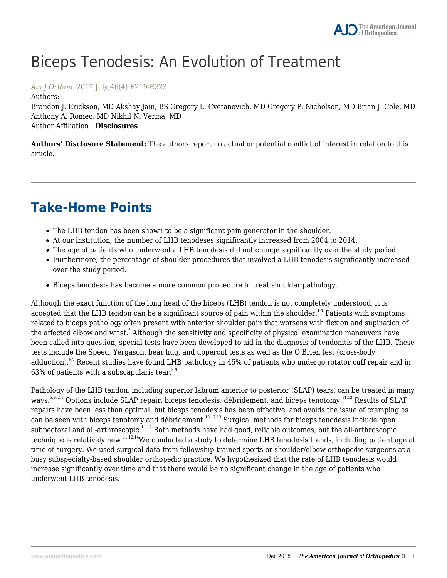# Biceps Tenodesis: An Evolution of Treatment

*Am J Orthop*. 2017 July;46(4):E219-E223

Authors: Brandon J. Erickson, MD Akshay Jain, BS Gregory L. Cvetanovich, MD Gregory P. Nicholson, MD Brian J. Cole, MD Anthony A. Romeo, MD Nikhil N. Verma, MD Author Affiliation | **Disclosures**

**Authors' Disclosure Statement:** The authors report no actual or potential conflict of interest in relation to this article.

## **Take-Home Points**

- The LHB tendon has been shown to be a significant pain generator in the shoulder.
- At our institution, the number of LHB tenodeses significantly increased from 2004 to 2014.
- The age of patients who underwent a LHB tenodesis did not change significantly over the study period.
- Furthermore, the percentage of shoulder procedures that involved a LHB tenodesis significantly increased over the study period.
- Biceps tenodesis has become a more common procedure to treat shoulder pathology.

Although the exact function of the long head of the biceps (LHB) tendon is not completely understood, it is accepted that the LHB tendon can be a significant source of pain within the shoulder.<sup>14</sup> Patients with symptoms related to biceps pathology often present with anterior shoulder pain that worsens with flexion and supination of the affected elbow and wrist.<sup>5</sup> Although the sensitivity and specificity of physical examination maneuvers have been called into question, special tests have been developed to aid in the diagnosis of tendonitis of the LHB. These tests include the Speed, Yergason, bear hug, and uppercut tests as well as the O'Brien test (cross-body adduction).<sup>6,7</sup> Recent studies have found LHB pathology in 45% of patients who undergo rotator cuff repair and in 63% of patients with a subscapularis tear. $8,9$ 

Pathology of the LHB tendon, including superior labrum anterior to posterior (SLAP) tears, can be treated in many ways.<sup>5,10,11</sup> Options include SLAP repair, biceps tenodesis, débridement, and biceps tenotomy.<sup>11,12</sup> Results of SLAP repairs have been less than optimal, but biceps tenodesis has been effective, and avoids the issue of cramping as can be seen with biceps tenotomy and débridement.<sup>10,12,13</sup> Surgical methods for biceps tenodesis include open subpectoral and all-arthroscopic.<sup>11,12</sup> Both methods have had good, reliable outcomes, but the all-arthroscopic technique is relatively new.11,12,14We conducted a study to determine LHB tenodesis trends, including patient age at time of surgery. We used surgical data from fellowship-trained sports or shoulder/elbow orthopedic surgeons at a busy subspecialty-based shoulder orthopedic practice. We hypothesized that the rate of LHB tenodesis would increase significantly over time and that there would be no significant change in the age of patients who underwent LHB tenodesis.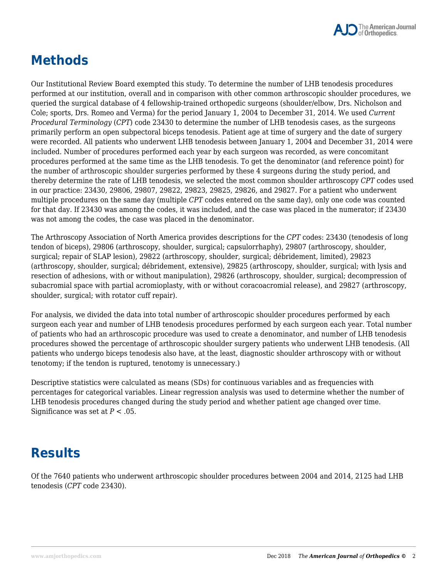

### **Methods**

Our Institutional Review Board exempted this study. To determine the number of LHB tenodesis procedures performed at our institution, overall and in comparison with other common arthroscopic shoulder procedures, we queried the surgical database of 4 fellowship-trained orthopedic surgeons (shoulder/elbow, Drs. Nicholson and Cole; sports, Drs. Romeo and Verma) for the period January 1, 2004 to December 31, 2014. We used *Current Procedural Terminology* (*CPT*) code 23430 to determine the number of LHB tenodesis cases, as the surgeons primarily perform an open subpectoral biceps tenodesis. Patient age at time of surgery and the date of surgery were recorded. All patients who underwent LHB tenodesis between January 1, 2004 and December 31, 2014 were included. Number of procedures performed each year by each surgeon was recorded, as were concomitant procedures performed at the same time as the LHB tenodesis. To get the denominator (and reference point) for the number of arthroscopic shoulder surgeries performed by these 4 surgeons during the study period, and thereby determine the rate of LHB tenodesis, we selected the most common shoulder arthroscopy *CPT* codes used in our practice: 23430, 29806, 29807, 29822, 29823, 29825, 29826, and 29827. For a patient who underwent multiple procedures on the same day (multiple *CPT* codes entered on the same day), only one code was counted for that day. If 23430 was among the codes, it was included, and the case was placed in the numerator; if 23430 was not among the codes, the case was placed in the denominator.

The Arthroscopy Association of North America provides descriptions for the *CPT* codes: 23430 (tenodesis of long tendon of biceps), 29806 (arthroscopy, shoulder, surgical; capsulorrhaphy), 29807 (arthroscopy, shoulder, surgical; repair of SLAP lesion), 29822 (arthroscopy, shoulder, surgical; débridement, limited), 29823 (arthroscopy, shoulder, surgical; débridement, extensive), 29825 (arthroscopy, shoulder, surgical; with lysis and resection of adhesions, with or without manipulation), 29826 (arthroscopy, shoulder, surgical; decompression of subacromial space with partial acromioplasty, with or without coracoacromial release), and 29827 (arthroscopy, shoulder, surgical; with rotator cuff repair).

For analysis, we divided the data into total number of arthroscopic shoulder procedures performed by each surgeon each year and number of LHB tenodesis procedures performed by each surgeon each year. Total number of patients who had an arthroscopic procedure was used to create a denominator, and number of LHB tenodesis procedures showed the percentage of arthroscopic shoulder surgery patients who underwent LHB tenodesis. (All patients who undergo biceps tenodesis also have, at the least, diagnostic shoulder arthroscopy with or without tenotomy; if the tendon is ruptured, tenotomy is unnecessary.)

Descriptive statistics were calculated as means (SDs) for continuous variables and as frequencies with percentages for categorical variables. Linear regression analysis was used to determine whether the number of LHB tenodesis procedures changed during the study period and whether patient age changed over time. Significance was set at  $P < .05$ .

#### **Results**

Of the 7640 patients who underwent arthroscopic shoulder procedures between 2004 and 2014, 2125 had LHB tenodesis (*CPT* code 23430).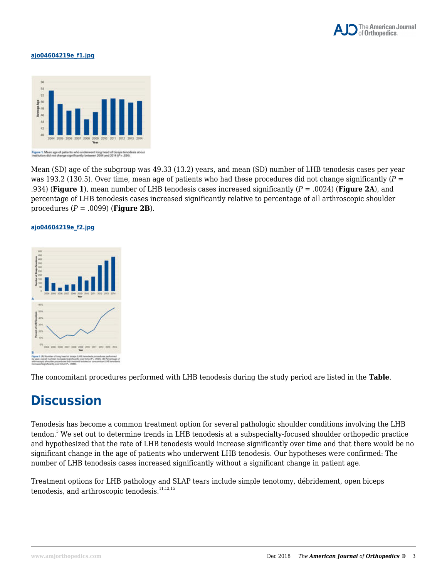

#### **ajo04604219e\_f1.jpg**



Mean (SD) age of the subgroup was 49.33 (13.2) years, and mean (SD) number of LHB tenodesis cases per year was 193.2 (130.5). Over time, mean age of patients who had these procedures did not change significantly (*P* = .934) (**Figure 1**), mean number of LHB tenodesis cases increased significantly (*P* = .0024) (**Figure 2A**), and percentage of LHB tenodesis cases increased significantly relative to percentage of all arthroscopic shoulder procedures (*P* = .0099) (**Figure 2B**).

#### **ajo04604219e\_f2.jpg**



The concomitant procedures performed with LHB tenodesis during the study period are listed in the **Table**.

#### **Discussion**

Tenodesis has become a common treatment option for several pathologic shoulder conditions involving the LHB tendon.<sup>5</sup> We set out to determine trends in LHB tenodesis at a subspecialty-focused shoulder orthopedic practice and hypothesized that the rate of LHB tenodesis would increase significantly over time and that there would be no significant change in the age of patients who underwent LHB tenodesis. Our hypotheses were confirmed: The number of LHB tenodesis cases increased significantly without a significant change in patient age.

Treatment options for LHB pathology and SLAP tears include simple tenotomy, débridement, open biceps tenodesis, and arthroscopic tenodesis.<sup>11,12,15</sup>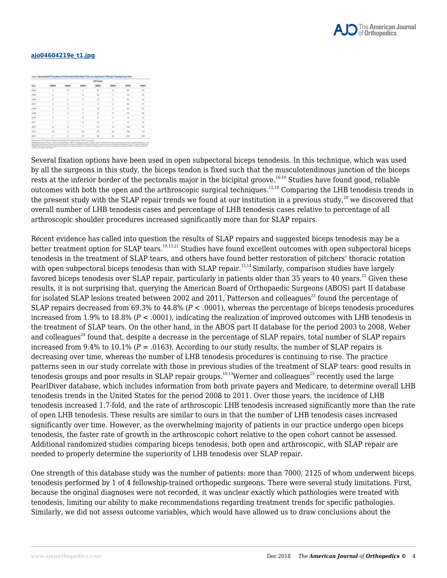

#### **ajo04604219e\_t1.jpg**

| Tour       | Off Code     |         |          |              |       |              |                |  |
|------------|--------------|---------|----------|--------------|-------|--------------|----------------|--|
|            |              | 29657   | 19922    | <b>JOHNS</b> | 29525 | Jacob        | <b>JONES</b>   |  |
|            |              | $^{16}$ | ٠        | m            |       |              | $^{12}$        |  |
| 3008       |              |         | 11.4     | -            |       | <b>REE</b> 1 | <b>A</b>       |  |
| in.        |              |         |          | ×            |       |              | $\overline{1}$ |  |
| post       |              |         |          | ٠            |       | $-200$       | m              |  |
| 3008       |              |         |          |              |       |              | m              |  |
| 1008       |              |         |          |              |       |              |                |  |
| 201        |              |         | $\cdots$ | ٠            | ٠     |              | ×              |  |
| 2011       |              |         |          |              |       |              |                |  |
| <b>SEG</b> |              |         |          | <b>FILE</b>  |       |              |                |  |
| in co      |              |         |          | it f         | 11    |              | $+1$           |  |
| 3014       | $\mathbf{r}$ |         | $^{10}$  | m            |       |              |                |  |

Several fixation options have been used in open subpectoral biceps tenodesis. In this technique, which was used by all the surgeons in this study, the biceps tendon is fixed such that the musculotendinous junction of the biceps rests at the inferior border of the pectoralis major in the bicipital groove.<sup>16-19</sup> Studies have found good, reliable outcomes with both the open and the arthroscopic surgical techniques.12,18 Comparing the LHB tenodesis trends in the present study with the SLAP repair trends we found at our institution in a previous study,<sup>20</sup> we discovered that overall number of LHB tenodesis cases and percentage of LHB tenodesis cases relative to percentage of all arthroscopic shoulder procedures increased significantly more than for SLAP repairs.

Recent evidence has called into question the results of SLAP repairs and suggested biceps tenodesis may be a better treatment option for SLAP tears.<sup>10,13,21</sup> Studies have found excellent outcomes with open subpectoral biceps tenodesis in the treatment of SLAP tears, and others have found better restoration of pitchers' thoracic rotation with open subpectoral biceps tenodesis than with SLAP repair.<sup>13,14</sup> Similarly, comparison studies have largely favored biceps tenodesis over SLAP repair, particularly in patients older than 35 years to 40 years.<sup>22</sup> Given these results, it is not surprising that, querying the American Board of Orthopaedic Surgeons (ABOS) part II database for isolated SLAP lesions treated between 2002 and 2011, Patterson and colleagues<sup>23</sup> found the percentage of SLAP repairs decreased from  $69.3\%$  to  $44.8\%$  ( $P < .0001$ ), whereas the percentage of biceps tenodesis procedures increased from 1.9% to 18.8% (*P* < .0001), indicating the realization of improved outcomes with LHB tenodesis in the treatment of SLAP tears. On the other hand, in the ABOS part II database for the period 2003 to 2008, Weber and colleagues<sup>24</sup> found that, despite a decrease in the percentage of SLAP repairs, total number of SLAP repairs increased from 9.4% to 10.1% ( $P = .0163$ ). According to our study results, the number of SLAP repairs is decreasing over time, whereas the number of LHB tenodesis procedures is continuing to rise. The practice patterns seen in our study correlate with those in previous studies of the treatment of SLAP tears: good results in tenodesis groups and poor results in SLAP repair groups.<sup>10,13</sup>Werner and colleagues<sup>25</sup> recently used the large PearlDiver database, which includes information from both private payers and Medicare, to determine overall LHB tenodesis trends in the United States for the period 2008 to 2011. Over those years, the incidence of LHB tenodesis increased 1.7-fold, and the rate of arthroscopic LHB tenodesis increased significantly more than the rate of open LHB tenodesis. These results are similar to ours in that the number of LHB tenodesis cases increased significantly over time. However, as the overwhelming majority of patients in our practice undergo open biceps tenodesis, the faster rate of growth in the arthroscopic cohort relative to the open cohort cannot be assessed. Additional randomized studies comparing biceps tenodesis, both open and arthroscopic, with SLAP repair are needed to properly determine the superiority of LHB tenodesis over SLAP repair.

One strength of this database study was the number of patients: more than 7000, 2125 of whom underwent biceps tenodesis performed by 1 of 4 fellowship-trained orthopedic surgeons. There were several study limitations. First, because the original diagnoses were not recorded, it was unclear exactly which pathologies were treated with tenodesis, limiting our ability to make recommendations regarding treatment trends for specific pathologies. Similarly, we did not assess outcome variables, which would have allowed us to draw conclusions about the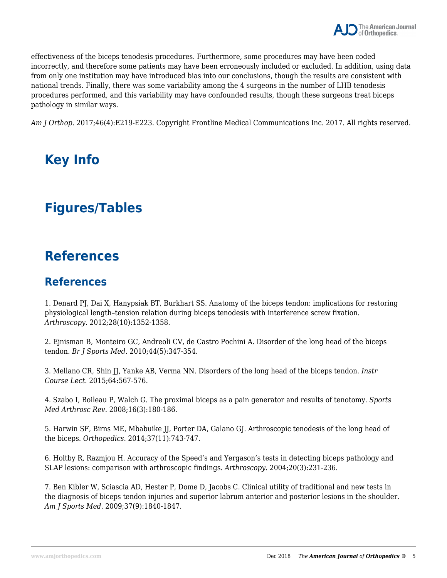effectiveness of the biceps tenodesis procedures. Furthermore, some procedures may have been coded incorrectly, and therefore some patients may have been erroneously included or excluded. In addition, using data from only one institution may have introduced bias into our conclusions, though the results are consistent with national trends. Finally, there was some variability among the 4 surgeons in the number of LHB tenodesis procedures performed, and this variability may have confounded results, though these surgeons treat biceps pathology in similar ways.

*Am J Orthop*. 2017;46(4):E219-E223. Copyright Frontline Medical Communications Inc. 2017. All rights reserved.

## **Key Info**

## **Figures/Tables**

#### **References**

#### **References**

1. Denard PJ, Dai X, Hanypsiak BT, Burkhart SS. Anatomy of the biceps tendon: implications for restoring physiological length–tension relation during biceps tenodesis with interference screw fixation. *Arthroscopy*. 2012;28(10):1352-1358.

2. Ejnisman B, Monteiro GC, Andreoli CV, de Castro Pochini A. Disorder of the long head of the biceps tendon. *Br J Sports Med*. 2010;44(5):347-354.

3. Mellano CR, Shin JJ, Yanke AB, Verma NN. Disorders of the long head of the biceps tendon. *Instr Course Lect*. 2015;64:567-576.

4. Szabo I, Boileau P, Walch G. The proximal biceps as a pain generator and results of tenotomy. *Sports Med Arthrosc Rev*. 2008;16(3):180-186.

5. Harwin SF, Birns ME, Mbabuike JJ, Porter DA, Galano GJ. Arthroscopic tenodesis of the long head of the biceps. *Orthopedics*. 2014;37(11):743-747.

6. Holtby R, Razmjou H. Accuracy of the Speed's and Yergason's tests in detecting biceps pathology and SLAP lesions: comparison with arthroscopic findings. *Arthroscopy*. 2004;20(3):231-236.

7. Ben Kibler W, Sciascia AD, Hester P, Dome D, Jacobs C. Clinical utility of traditional and new tests in the diagnosis of biceps tendon injuries and superior labrum anterior and posterior lesions in the shoulder. *Am J Sports Med*. 2009;37(9):1840-1847.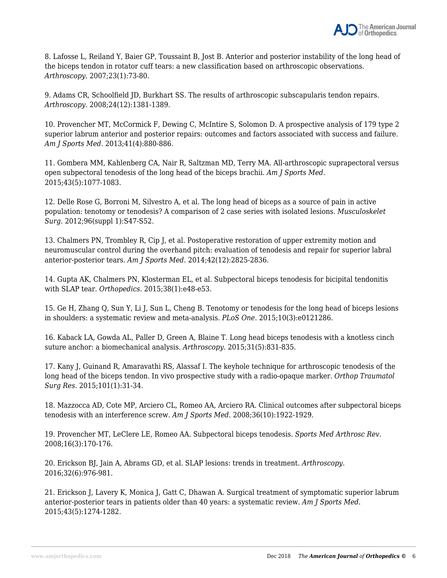

8. Lafosse L, Reiland Y, Baier GP, Toussaint B, Jost B. Anterior and posterior instability of the long head of the biceps tendon in rotator cuff tears: a new classification based on arthroscopic observations. *Arthroscopy*. 2007;23(1):73-80.

9. Adams CR, Schoolfield JD, Burkhart SS. The results of arthroscopic subscapularis tendon repairs. *Arthroscopy*. 2008;24(12):1381-1389.

10. Provencher MT, McCormick F, Dewing C, McIntire S, Solomon D. A prospective analysis of 179 type 2 superior labrum anterior and posterior repairs: outcomes and factors associated with success and failure. *Am J Sports Med*. 2013;41(4):880-886.

11. Gombera MM, Kahlenberg CA, Nair R, Saltzman MD, Terry MA. All-arthroscopic suprapectoral versus open subpectoral tenodesis of the long head of the biceps brachii. *Am J Sports Med*. 2015;43(5):1077-1083.

12. Delle Rose G, Borroni M, Silvestro A, et al. The long head of biceps as a source of pain in active population: tenotomy or tenodesis? A comparison of 2 case series with isolated lesions. *Musculoskelet Surg*. 2012;96(suppl 1):S47-S52.

13. Chalmers PN, Trombley R, Cip J, et al. Postoperative restoration of upper extremity motion and neuromuscular control during the overhand pitch: evaluation of tenodesis and repair for superior labral anterior-posterior tears. *Am J Sports Med*. 2014;42(12):2825-2836.

14. Gupta AK, Chalmers PN, Klosterman EL, et al. Subpectoral biceps tenodesis for bicipital tendonitis with SLAP tear. *Orthopedics*. 2015;38(1):e48-e53.

15. Ge H, Zhang Q, Sun Y, Li J, Sun L, Cheng B. Tenotomy or tenodesis for the long head of biceps lesions in shoulders: a systematic review and meta-analysis. *PLoS One*. 2015;10(3):e0121286.

16. Kaback LA, Gowda AL, Paller D, Green A, Blaine T. Long head biceps tenodesis with a knotless cinch suture anchor: a biomechanical analysis. *Arthroscopy*. 2015;31(5):831-835.

17. Kany J, Guinand R, Amaravathi RS, Alassaf I. The keyhole technique for arthroscopic tenodesis of the long head of the biceps tendon. In vivo prospective study with a radio-opaque marker. *Orthop Traumatol Surg Res*. 2015;101(1):31-34.

18. Mazzocca AD, Cote MP, Arciero CL, Romeo AA, Arciero RA. Clinical outcomes after subpectoral biceps tenodesis with an interference screw. *Am J Sports Med*. 2008;36(10):1922-1929.

19. Provencher MT, LeClere LE, Romeo AA. Subpectoral biceps tenodesis. *Sports Med Arthrosc Rev*. 2008;16(3):170-176.

20. Erickson BJ, Jain A, Abrams GD, et al. SLAP lesions: trends in treatment. *Arthroscopy*. 2016;32(6):976-981.

21. Erickson J, Lavery K, Monica J, Gatt C, Dhawan A. Surgical treatment of symptomatic superior labrum anterior-posterior tears in patients older than 40 years: a systematic review. *Am J Sports Med.* 2015;43(5):1274-1282.